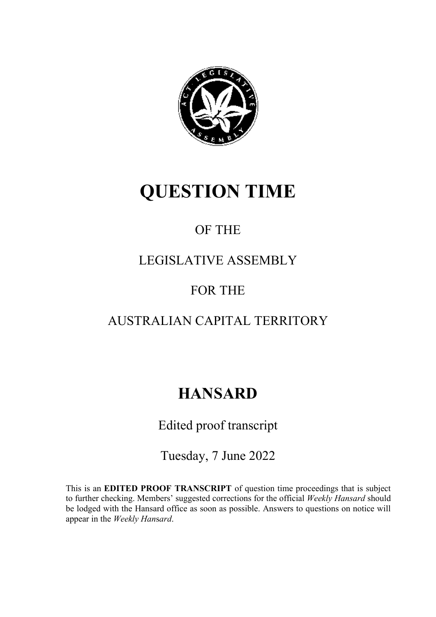

# **QUESTION TIME**

## OF THE

### LEGISLATIVE ASSEMBLY

### FOR THE

### AUSTRALIAN CAPITAL TERRITORY

# **HANSARD**

Edited proof transcript

Tuesday, 7 June 2022

This is an **EDITED PROOF TRANSCRIPT** of question time proceedings that is subject to further checking. Members' suggested corrections for the official *Weekly Hansard* should be lodged with the Hansard office as soon as possible. Answers to questions on notice will appear in the *Weekly Han*s*ard*.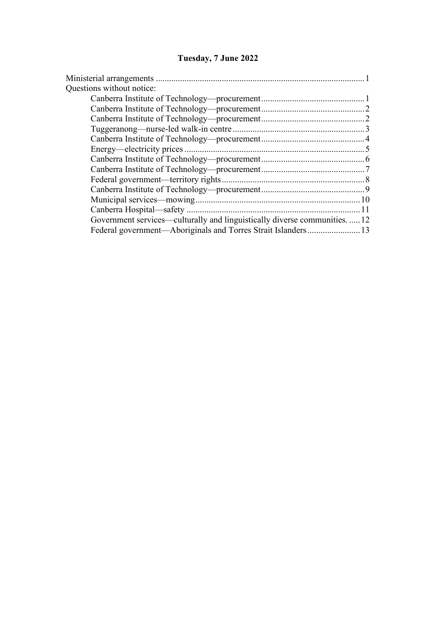### **Tuesday, 7 June 2022**

| Questions without notice:                                                  |  |
|----------------------------------------------------------------------------|--|
|                                                                            |  |
|                                                                            |  |
|                                                                            |  |
|                                                                            |  |
|                                                                            |  |
|                                                                            |  |
|                                                                            |  |
|                                                                            |  |
|                                                                            |  |
|                                                                            |  |
|                                                                            |  |
|                                                                            |  |
| Government services—culturally and linguistically diverse communities.  12 |  |
|                                                                            |  |
|                                                                            |  |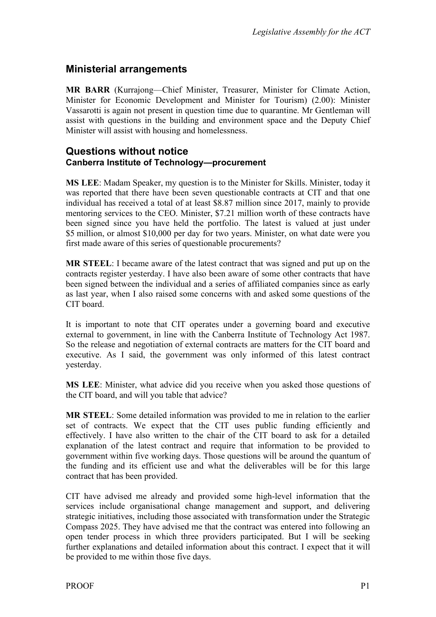### <span id="page-2-0"></span>**Ministerial arrangements**

**MR BARR** (Kurrajong—Chief Minister, Treasurer, Minister for Climate Action, Minister for Economic Development and Minister for Tourism) (2.00): Minister Vassarotti is again not present in question time due to quarantine. Mr Gentleman will assist with questions in the building and environment space and the Deputy Chief Minister will assist with housing and homelessness.

#### <span id="page-2-2"></span><span id="page-2-1"></span>**Questions without notice Canberra Institute of Technology—procurement**

**MS LEE**: Madam Speaker, my question is to the Minister for Skills. Minister, today it was reported that there have been seven questionable contracts at CIT and that one individual has received a total of at least \$8.87 million since 2017, mainly to provide mentoring services to the CEO. Minister, \$7.21 million worth of these contracts have been signed since you have held the portfolio. The latest is valued at just under \$5 million, or almost \$10,000 per day for two years. Minister, on what date were you first made aware of this series of questionable procurements?

**MR STEEL**: I became aware of the latest contract that was signed and put up on the contracts register yesterday. I have also been aware of some other contracts that have been signed between the individual and a series of affiliated companies since as early as last year, when I also raised some concerns with and asked some questions of the CIT board.

It is important to note that CIT operates under a governing board and executive external to government, in line with the Canberra Institute of Technology Act 1987. So the release and negotiation of external contracts are matters for the CIT board and executive. As I said, the government was only informed of this latest contract yesterday.

**MS LEE**: Minister, what advice did you receive when you asked those questions of the CIT board, and will you table that advice?

**MR STEEL**: Some detailed information was provided to me in relation to the earlier set of contracts. We expect that the CIT uses public funding efficiently and effectively. I have also written to the chair of the CIT board to ask for a detailed explanation of the latest contract and require that information to be provided to government within five working days. Those questions will be around the quantum of the funding and its efficient use and what the deliverables will be for this large contract that has been provided.

CIT have advised me already and provided some high-level information that the services include organisational change management and support, and delivering strategic initiatives, including those associated with transformation under the Strategic Compass 2025. They have advised me that the contract was entered into following an open tender process in which three providers participated. But I will be seeking further explanations and detailed information about this contract. I expect that it will be provided to me within those five days.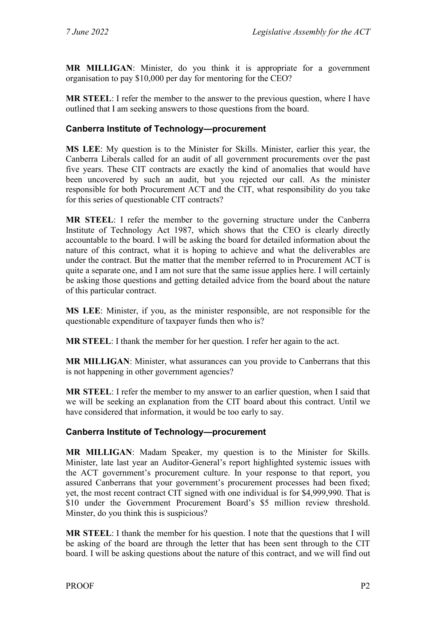**MR MILLIGAN**: Minister, do you think it is appropriate for a government organisation to pay \$10,000 per day for mentoring for the CEO?

**MR STEEL**: I refer the member to the answer to the previous question, where I have outlined that I am seeking answers to those questions from the board.

#### <span id="page-3-0"></span>**Canberra Institute of Technology—procurement**

**MS LEE**: My question is to the Minister for Skills. Minister, earlier this year, the Canberra Liberals called for an audit of all government procurements over the past five years. These CIT contracts are exactly the kind of anomalies that would have been uncovered by such an audit, but you rejected our call. As the minister responsible for both Procurement ACT and the CIT, what responsibility do you take for this series of questionable CIT contracts?

**MR STEEL**: I refer the member to the governing structure under the Canberra Institute of Technology Act 1987, which shows that the CEO is clearly directly accountable to the board. I will be asking the board for detailed information about the nature of this contract, what it is hoping to achieve and what the deliverables are under the contract. But the matter that the member referred to in Procurement ACT is quite a separate one, and I am not sure that the same issue applies here. I will certainly be asking those questions and getting detailed advice from the board about the nature of this particular contract.

**MS LEE**: Minister, if you, as the minister responsible, are not responsible for the questionable expenditure of taxpayer funds then who is?

**MR STEEL**: I thank the member for her question. I refer her again to the act.

**MR MILLIGAN**: Minister, what assurances can you provide to Canberrans that this is not happening in other government agencies?

**MR STEEL**: I refer the member to my answer to an earlier question, when I said that we will be seeking an explanation from the CIT board about this contract. Until we have considered that information, it would be too early to say.

#### <span id="page-3-1"></span>**Canberra Institute of Technology—procurement**

**MR MILLIGAN**: Madam Speaker, my question is to the Minister for Skills. Minister, late last year an Auditor-General's report highlighted systemic issues with the ACT government's procurement culture. In your response to that report, you assured Canberrans that your government's procurement processes had been fixed; yet, the most recent contract CIT signed with one individual is for \$4,999,990. That is \$10 under the Government Procurement Board's \$5 million review threshold. Minster, do you think this is suspicious?

**MR STEEL**: I thank the member for his question. I note that the questions that I will be asking of the board are through the letter that has been sent through to the CIT board. I will be asking questions about the nature of this contract, and we will find out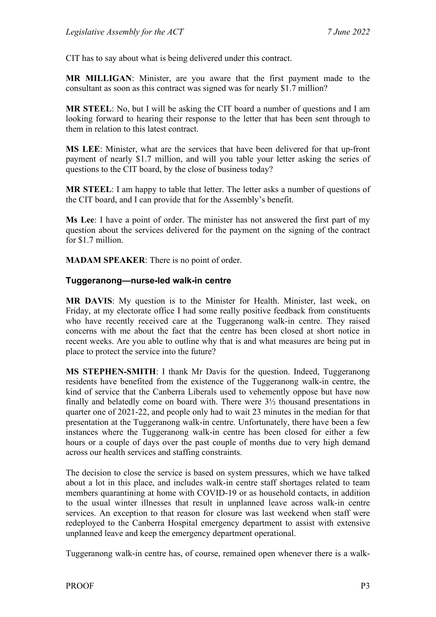CIT has to say about what is being delivered under this contract.

**MR MILLIGAN**: Minister, are you aware that the first payment made to the consultant as soon as this contract was signed was for nearly \$1.7 million?

**MR STEEL**: No, but I will be asking the CIT board a number of questions and I am looking forward to hearing their response to the letter that has been sent through to them in relation to this latest contract.

**MS LEE**: Minister, what are the services that have been delivered for that up-front payment of nearly \$1.7 million, and will you table your letter asking the series of questions to the CIT board, by the close of business today?

**MR STEEL**: I am happy to table that letter. The letter asks a number of questions of the CIT board, and I can provide that for the Assembly's benefit.

**Ms Lee**: I have a point of order. The minister has not answered the first part of my question about the services delivered for the payment on the signing of the contract for \$1.7 million.

**MADAM SPEAKER**: There is no point of order.

#### <span id="page-4-0"></span>**Tuggeranong—nurse-led walk-in centre**

**MR DAVIS**: My question is to the Minister for Health. Minister, last week, on Friday, at my electorate office I had some really positive feedback from constituents who have recently received care at the Tuggeranong walk-in centre. They raised concerns with me about the fact that the centre has been closed at short notice in recent weeks. Are you able to outline why that is and what measures are being put in place to protect the service into the future?

**MS STEPHEN-SMITH**: I thank Mr Davis for the question. Indeed, Tuggeranong residents have benefited from the existence of the Tuggeranong walk-in centre, the kind of service that the Canberra Liberals used to vehemently oppose but have now finally and belatedly come on board with. There were 3½ thousand presentations in quarter one of 2021-22, and people only had to wait 23 minutes in the median for that presentation at the Tuggeranong walk-in centre. Unfortunately, there have been a few instances where the Tuggeranong walk-in centre has been closed for either a few hours or a couple of days over the past couple of months due to very high demand across our health services and staffing constraints.

The decision to close the service is based on system pressures, which we have talked about a lot in this place, and includes walk-in centre staff shortages related to team members quarantining at home with COVID-19 or as household contacts, in addition to the usual winter illnesses that result in unplanned leave across walk-in centre services. An exception to that reason for closure was last weekend when staff were redeployed to the Canberra Hospital emergency department to assist with extensive unplanned leave and keep the emergency department operational.

Tuggeranong walk-in centre has, of course, remained open whenever there is a walk-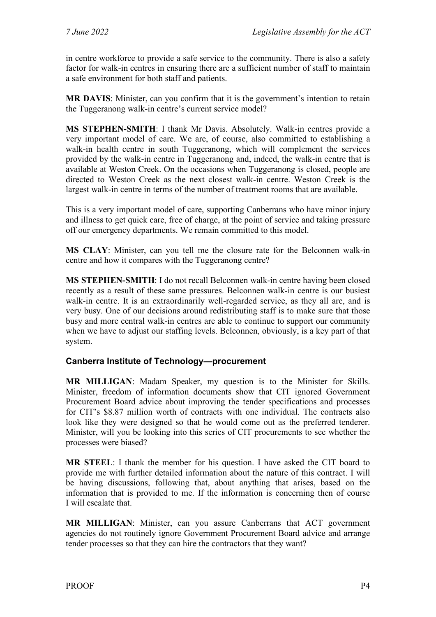in centre workforce to provide a safe service to the community. There is also a safety factor for walk-in centres in ensuring there are a sufficient number of staff to maintain a safe environment for both staff and patients.

**MR DAVIS**: Minister, can you confirm that it is the government's intention to retain the Tuggeranong walk-in centre's current service model?

**MS STEPHEN-SMITH**: I thank Mr Davis. Absolutely. Walk-in centres provide a very important model of care. We are, of course, also committed to establishing a walk-in health centre in south Tuggeranong, which will complement the services provided by the walk-in centre in Tuggeranong and, indeed, the walk-in centre that is available at Weston Creek. On the occasions when Tuggeranong is closed, people are directed to Weston Creek as the next closest walk-in centre. Weston Creek is the largest walk-in centre in terms of the number of treatment rooms that are available.

This is a very important model of care, supporting Canberrans who have minor injury and illness to get quick care, free of charge, at the point of service and taking pressure off our emergency departments. We remain committed to this model.

**MS CLAY**: Minister, can you tell me the closure rate for the Belconnen walk-in centre and how it compares with the Tuggeranong centre?

**MS STEPHEN-SMITH**: I do not recall Belconnen walk-in centre having been closed recently as a result of these same pressures. Belconnen walk-in centre is our busiest walk-in centre. It is an extraordinarily well-regarded service, as they all are, and is very busy. One of our decisions around redistributing staff is to make sure that those busy and more central walk-in centres are able to continue to support our community when we have to adjust our staffing levels. Belconnen, obviously, is a key part of that system.

#### <span id="page-5-0"></span>**Canberra Institute of Technology—procurement**

**MR MILLIGAN**: Madam Speaker, my question is to the Minister for Skills. Minister, freedom of information documents show that CIT ignored Government Procurement Board advice about improving the tender specifications and processes for CIT's \$8.87 million worth of contracts with one individual. The contracts also look like they were designed so that he would come out as the preferred tenderer. Minister, will you be looking into this series of CIT procurements to see whether the processes were biased?

**MR STEEL**: I thank the member for his question. I have asked the CIT board to provide me with further detailed information about the nature of this contract. I will be having discussions, following that, about anything that arises, based on the information that is provided to me. If the information is concerning then of course I will escalate that.

**MR MILLIGAN**: Minister, can you assure Canberrans that ACT government agencies do not routinely ignore Government Procurement Board advice and arrange tender processes so that they can hire the contractors that they want?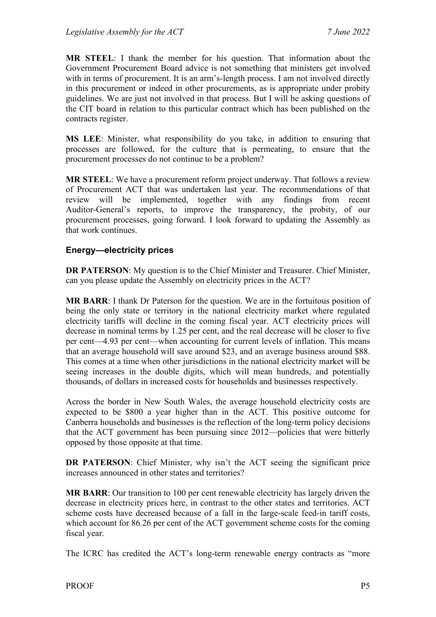**MR STEEL**: I thank the member for his question. That information about the Government Procurement Board advice is not something that ministers get involved with in terms of procurement. It is an arm's-length process. I am not involved directly in this procurement or indeed in other procurements, as is appropriate under probity guidelines. We are just not involved in that process. But I will be asking questions of the CIT board in relation to this particular contract which has been published on the contracts register.

**MS LEE**: Minister, what responsibility do you take, in addition to ensuring that processes are followed, for the culture that is permeating, to ensure that the procurement processes do not continue to be a problem?

**MR STEEL**: We have a procurement reform project underway. That follows a review of Procurement ACT that was undertaken last year. The recommendations of that review will be implemented, together with any findings from recent Auditor-General's reports, to improve the transparency, the probity, of our procurement processes, going forward. I look forward to updating the Assembly as that work continues.

#### <span id="page-6-0"></span>**Energy—electricity prices**

**DR PATERSON**: My question is to the Chief Minister and Treasurer. Chief Minister, can you please update the Assembly on electricity prices in the ACT?

**MR BARR**: I thank Dr Paterson for the question. We are in the fortuitous position of being the only state or territory in the national electricity market where regulated electricity tariffs will decline in the coming fiscal year. ACT electricity prices will decrease in nominal terms by 1.25 per cent, and the real decrease will be closer to five per cent—4.93 per cent—when accounting for current levels of inflation. This means that an average household will save around \$23, and an average business around \$88. This comes at a time when other jurisdictions in the national electricity market will be seeing increases in the double digits, which will mean hundreds, and potentially thousands, of dollars in increased costs for households and businesses respectively.

Across the border in New South Wales, the average household electricity costs are expected to be \$800 a year higher than in the ACT. This positive outcome for Canberra households and businesses is the reflection of the long-term policy decisions that the ACT government has been pursuing since 2012—policies that were bitterly opposed by those opposite at that time.

**DR PATERSON:** Chief Minister, why isn't the ACT seeing the significant price increases announced in other states and territories?

**MR BARR**: Our transition to 100 per cent renewable electricity has largely driven the decrease in electricity prices here, in contrast to the other states and territories. ACT scheme costs have decreased because of a fall in the large-scale feed-in tariff costs, which account for 86.26 per cent of the ACT government scheme costs for the coming fiscal year.

The ICRC has credited the ACT's long-term renewable energy contracts as "more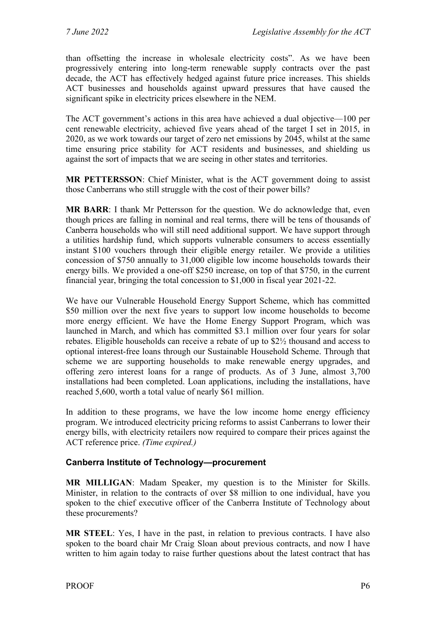than offsetting the increase in wholesale electricity costs". As we have been progressively entering into long-term renewable supply contracts over the past decade, the ACT has effectively hedged against future price increases. This shields ACT businesses and households against upward pressures that have caused the significant spike in electricity prices elsewhere in the NEM.

The ACT government's actions in this area have achieved a dual objective—100 per cent renewable electricity, achieved five years ahead of the target I set in 2015, in 2020, as we work towards our target of zero net emissions by 2045, whilst at the same time ensuring price stability for ACT residents and businesses, and shielding us against the sort of impacts that we are seeing in other states and territories.

**MR PETTERSSON**: Chief Minister, what is the ACT government doing to assist those Canberrans who still struggle with the cost of their power bills?

**MR BARR**: I thank Mr Pettersson for the question. We do acknowledge that, even though prices are falling in nominal and real terms, there will be tens of thousands of Canberra households who will still need additional support. We have support through a utilities hardship fund, which supports vulnerable consumers to access essentially instant \$100 vouchers through their eligible energy retailer. We provide a utilities concession of \$750 annually to 31,000 eligible low income households towards their energy bills. We provided a one-off \$250 increase, on top of that \$750, in the current financial year, bringing the total concession to \$1,000 in fiscal year 2021-22.

We have our Vulnerable Household Energy Support Scheme, which has committed \$50 million over the next five years to support low income households to become more energy efficient. We have the Home Energy Support Program, which was launched in March, and which has committed \$3.1 million over four years for solar rebates. Eligible households can receive a rebate of up to \$2½ thousand and access to optional interest-free loans through our Sustainable Household Scheme. Through that scheme we are supporting households to make renewable energy upgrades, and offering zero interest loans for a range of products. As of 3 June, almost 3,700 installations had been completed. Loan applications, including the installations, have reached 5,600, worth a total value of nearly \$61 million.

In addition to these programs, we have the low income home energy efficiency program. We introduced electricity pricing reforms to assist Canberrans to lower their energy bills, with electricity retailers now required to compare their prices against the ACT reference price. *(Time expired.)*

#### <span id="page-7-0"></span>**Canberra Institute of Technology—procurement**

**MR MILLIGAN**: Madam Speaker, my question is to the Minister for Skills. Minister, in relation to the contracts of over \$8 million to one individual, have you spoken to the chief executive officer of the Canberra Institute of Technology about these procurements?

**MR STEEL**: Yes, I have in the past, in relation to previous contracts. I have also spoken to the board chair Mr Craig Sloan about previous contracts, and now I have written to him again today to raise further questions about the latest contract that has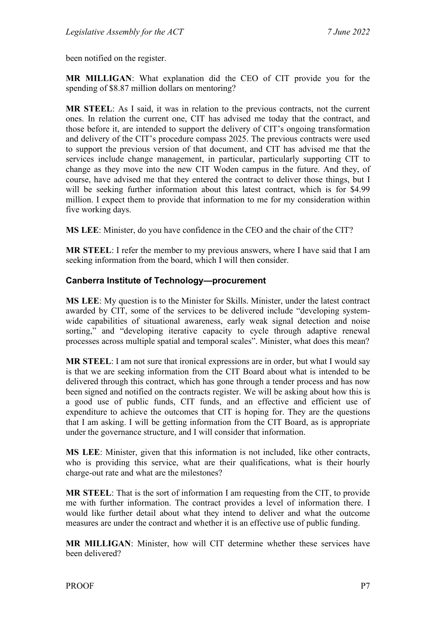been notified on the register.

**MR MILLIGAN**: What explanation did the CEO of CIT provide you for the spending of \$8.87 million dollars on mentoring?

**MR STEEL**: As I said, it was in relation to the previous contracts, not the current ones. In relation the current one, CIT has advised me today that the contract, and those before it, are intended to support the delivery of CIT's ongoing transformation and delivery of the CIT's procedure compass 2025. The previous contracts were used to support the previous version of that document, and CIT has advised me that the services include change management, in particular, particularly supporting CIT to change as they move into the new CIT Woden campus in the future. And they, of course, have advised me that they entered the contract to deliver those things, but I will be seeking further information about this latest contract, which is for \$4.99 million. I expect them to provide that information to me for my consideration within five working days.

**MS LEE**: Minister, do you have confidence in the CEO and the chair of the CIT?

**MR STEEL**: I refer the member to my previous answers, where I have said that I am seeking information from the board, which I will then consider.

#### <span id="page-8-0"></span>**Canberra Institute of Technology—procurement**

**MS LEE**: My question is to the Minister for Skills. Minister, under the latest contract awarded by CIT, some of the services to be delivered include "developing systemwide capabilities of situational awareness, early weak signal detection and noise sorting," and "developing iterative capacity to cycle through adaptive renewal processes across multiple spatial and temporal scales". Minister, what does this mean?

**MR STEEL**: I am not sure that ironical expressions are in order, but what I would say is that we are seeking information from the CIT Board about what is intended to be delivered through this contract, which has gone through a tender process and has now been signed and notified on the contracts register. We will be asking about how this is a good use of public funds, CIT funds, and an effective and efficient use of expenditure to achieve the outcomes that CIT is hoping for. They are the questions that I am asking. I will be getting information from the CIT Board, as is appropriate under the governance structure, and I will consider that information.

**MS LEE**: Minister, given that this information is not included, like other contracts, who is providing this service, what are their qualifications, what is their hourly charge-out rate and what are the milestones?

**MR STEEL**: That is the sort of information I am requesting from the CIT, to provide me with further information. The contract provides a level of information there. I would like further detail about what they intend to deliver and what the outcome measures are under the contract and whether it is an effective use of public funding.

**MR MILLIGAN**: Minister, how will CIT determine whether these services have been delivered?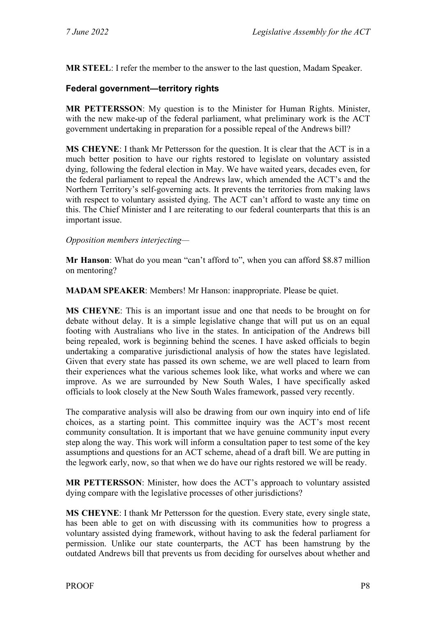**MR STEEL**: I refer the member to the answer to the last question, Madam Speaker.

#### <span id="page-9-0"></span>**Federal government—territory rights**

**MR PETTERSSON**: My question is to the Minister for Human Rights. Minister, with the new make-up of the federal parliament, what preliminary work is the ACT government undertaking in preparation for a possible repeal of the Andrews bill?

**MS CHEYNE**: I thank Mr Pettersson for the question. It is clear that the ACT is in a much better position to have our rights restored to legislate on voluntary assisted dying, following the federal election in May. We have waited years, decades even, for the federal parliament to repeal the Andrews law, which amended the ACT's and the Northern Territory's self-governing acts. It prevents the territories from making laws with respect to voluntary assisted dying. The ACT can't afford to waste any time on this. The Chief Minister and I are reiterating to our federal counterparts that this is an important issue.

#### *Opposition members interjecting—*

**Mr Hanson**: What do you mean "can't afford to", when you can afford \$8.87 million on mentoring?

**MADAM SPEAKER**: Members! Mr Hanson: inappropriate. Please be quiet.

**MS CHEYNE**: This is an important issue and one that needs to be brought on for debate without delay. It is a simple legislative change that will put us on an equal footing with Australians who live in the states. In anticipation of the Andrews bill being repealed, work is beginning behind the scenes. I have asked officials to begin undertaking a comparative jurisdictional analysis of how the states have legislated. Given that every state has passed its own scheme, we are well placed to learn from their experiences what the various schemes look like, what works and where we can improve. As we are surrounded by New South Wales, I have specifically asked officials to look closely at the New South Wales framework, passed very recently.

The comparative analysis will also be drawing from our own inquiry into end of life choices, as a starting point. This committee inquiry was the ACT's most recent community consultation. It is important that we have genuine community input every step along the way. This work will inform a consultation paper to test some of the key assumptions and questions for an ACT scheme, ahead of a draft bill. We are putting in the legwork early, now, so that when we do have our rights restored we will be ready.

**MR PETTERSSON**: Minister, how does the ACT's approach to voluntary assisted dying compare with the legislative processes of other jurisdictions?

**MS CHEYNE**: I thank Mr Pettersson for the question. Every state, every single state, has been able to get on with discussing with its communities how to progress a voluntary assisted dying framework, without having to ask the federal parliament for permission. Unlike our state counterparts, the ACT has been hamstrung by the outdated Andrews bill that prevents us from deciding for ourselves about whether and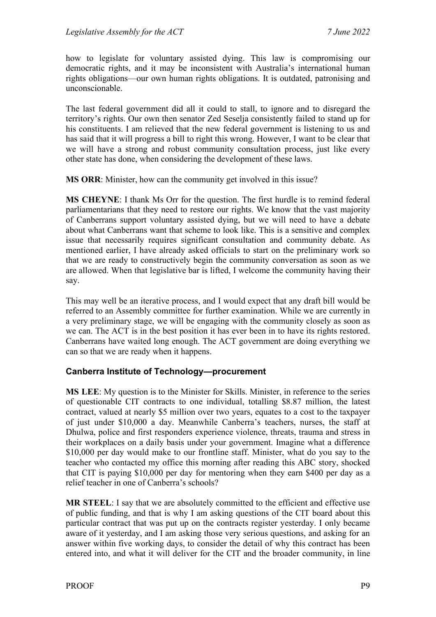how to legislate for voluntary assisted dying. This law is compromising our democratic rights, and it may be inconsistent with Australia's international human rights obligations—our own human rights obligations. It is outdated, patronising and unconscionable.

The last federal government did all it could to stall, to ignore and to disregard the territory's rights. Our own then senator Zed Seselja consistently failed to stand up for his constituents. I am relieved that the new federal government is listening to us and has said that it will progress a bill to right this wrong. However, I want to be clear that we will have a strong and robust community consultation process, just like every other state has done, when considering the development of these laws.

**MS ORR**: Minister, how can the community get involved in this issue?

**MS CHEYNE**: I thank Ms Orr for the question. The first hurdle is to remind federal parliamentarians that they need to restore our rights. We know that the vast majority of Canberrans support voluntary assisted dying, but we will need to have a debate about what Canberrans want that scheme to look like. This is a sensitive and complex issue that necessarily requires significant consultation and community debate. As mentioned earlier, I have already asked officials to start on the preliminary work so that we are ready to constructively begin the community conversation as soon as we are allowed. When that legislative bar is lifted, I welcome the community having their say.

This may well be an iterative process, and I would expect that any draft bill would be referred to an Assembly committee for further examination. While we are currently in a very preliminary stage, we will be engaging with the community closely as soon as we can. The ACT is in the best position it has ever been in to have its rights restored. Canberrans have waited long enough. The ACT government are doing everything we can so that we are ready when it happens.

#### <span id="page-10-0"></span>**Canberra Institute of Technology—procurement**

**MS LEE**: My question is to the Minister for Skills. Minister, in reference to the series of questionable CIT contracts to one individual, totalling \$8.87 million, the latest contract, valued at nearly \$5 million over two years, equates to a cost to the taxpayer of just under \$10,000 a day. Meanwhile Canberra's teachers, nurses, the staff at Dhulwa, police and first responders experience violence, threats, trauma and stress in their workplaces on a daily basis under your government. Imagine what a difference \$10,000 per day would make to our frontline staff. Minister, what do you say to the teacher who contacted my office this morning after reading this ABC story, shocked that CIT is paying \$10,000 per day for mentoring when they earn \$400 per day as a relief teacher in one of Canberra's schools?

**MR STEEL**: I say that we are absolutely committed to the efficient and effective use of public funding, and that is why I am asking questions of the CIT board about this particular contract that was put up on the contracts register yesterday. I only became aware of it yesterday, and I am asking those very serious questions, and asking for an answer within five working days, to consider the detail of why this contract has been entered into, and what it will deliver for the CIT and the broader community, in line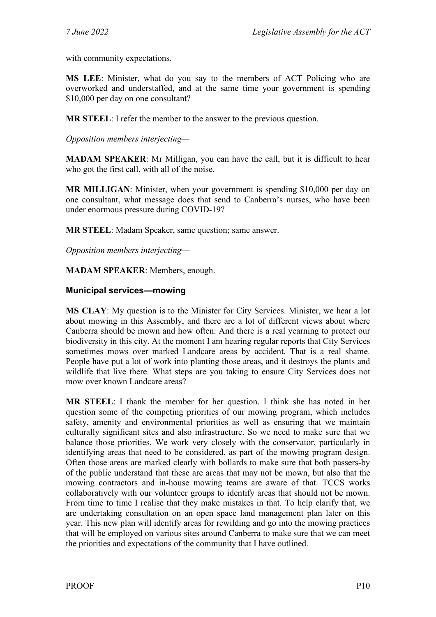with community expectations.

**MS LEE**: Minister, what do you say to the members of ACT Policing who are overworked and understaffed, and at the same time your government is spending \$10,000 per day on one consultant?

**MR STEEL**: I refer the member to the answer to the previous question.

*Opposition members interjecting—*

**MADAM SPEAKER**: Mr Milligan, you can have the call, but it is difficult to hear who got the first call, with all of the noise.

**MR MILLIGAN**: Minister, when your government is spending \$10,000 per day on one consultant, what message does that send to Canberra's nurses, who have been under enormous pressure during COVID-19?

**MR STEEL**: Madam Speaker, same question; same answer.

*Opposition members interjecting*—

**MADAM SPEAKER**: Members, enough.

#### <span id="page-11-0"></span>**Municipal services—mowing**

**MS CLAY**: My question is to the Minister for City Services. Minister, we hear a lot about mowing in this Assembly, and there are a lot of different views about where Canberra should be mown and how often. And there is a real yearning to protect our biodiversity in this city. At the moment I am hearing regular reports that City Services sometimes mows over marked Landcare areas by accident. That is a real shame. People have put a lot of work into planting those areas, and it destroys the plants and wildlife that live there. What steps are you taking to ensure City Services does not mow over known Landcare areas?

**MR STEEL**: I thank the member for her question. I think she has noted in her question some of the competing priorities of our mowing program, which includes safety, amenity and environmental priorities as well as ensuring that we maintain culturally significant sites and also infrastructure. So we need to make sure that we balance those priorities. We work very closely with the conservator, particularly in identifying areas that need to be considered, as part of the mowing program design. Often those areas are marked clearly with bollards to make sure that both passers-by of the public understand that these are areas that may not be mown, but also that the mowing contractors and in-house mowing teams are aware of that. TCCS works collaboratively with our volunteer groups to identify areas that should not be mown. From time to time I realise that they make mistakes in that. To help clarify that, we are undertaking consultation on an open space land management plan later on this year. This new plan will identify areas for rewilding and go into the mowing practices that will be employed on various sites around Canberra to make sure that we can meet the priorities and expectations of the community that I have outlined.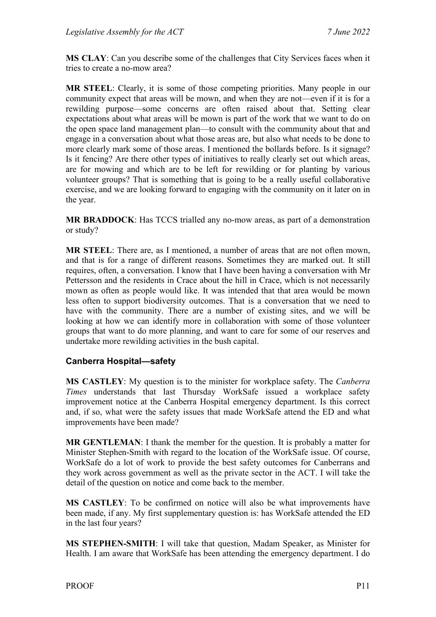**MS CLAY**: Can you describe some of the challenges that City Services faces when it tries to create a no-mow area?

**MR STEEL**: Clearly, it is some of those competing priorities. Many people in our community expect that areas will be mown, and when they are not—even if it is for a rewilding purpose—some concerns are often raised about that. Setting clear expectations about what areas will be mown is part of the work that we want to do on the open space land management plan—to consult with the community about that and engage in a conversation about what those areas are, but also what needs to be done to more clearly mark some of those areas. I mentioned the bollards before. Is it signage? Is it fencing? Are there other types of initiatives to really clearly set out which areas, are for mowing and which are to be left for rewilding or for planting by various volunteer groups? That is something that is going to be a really useful collaborative exercise, and we are looking forward to engaging with the community on it later on in the year.

**MR BRADDOCK**: Has TCCS trialled any no-mow areas, as part of a demonstration or study?

**MR STEEL**: There are, as I mentioned, a number of areas that are not often mown, and that is for a range of different reasons. Sometimes they are marked out. It still requires, often, a conversation. I know that I have been having a conversation with Mr Pettersson and the residents in Crace about the hill in Crace, which is not necessarily mown as often as people would like. It was intended that that area would be mown less often to support biodiversity outcomes. That is a conversation that we need to have with the community. There are a number of existing sites, and we will be looking at how we can identify more in collaboration with some of those volunteer groups that want to do more planning, and want to care for some of our reserves and undertake more rewilding activities in the bush capital.

#### <span id="page-12-0"></span>**Canberra Hospital—safety**

**MS CASTLEY**: My question is to the minister for workplace safety. The *Canberra Times* understands that last Thursday WorkSafe issued a workplace safety improvement notice at the Canberra Hospital emergency department. Is this correct and, if so, what were the safety issues that made WorkSafe attend the ED and what improvements have been made?

**MR GENTLEMAN**: I thank the member for the question. It is probably a matter for Minister Stephen-Smith with regard to the location of the WorkSafe issue. Of course, WorkSafe do a lot of work to provide the best safety outcomes for Canberrans and they work across government as well as the private sector in the ACT. I will take the detail of the question on notice and come back to the member.

**MS CASTLEY**: To be confirmed on notice will also be what improvements have been made, if any. My first supplementary question is: has WorkSafe attended the ED in the last four years?

**MS STEPHEN-SMITH**: I will take that question, Madam Speaker, as Minister for Health. I am aware that WorkSafe has been attending the emergency department. I do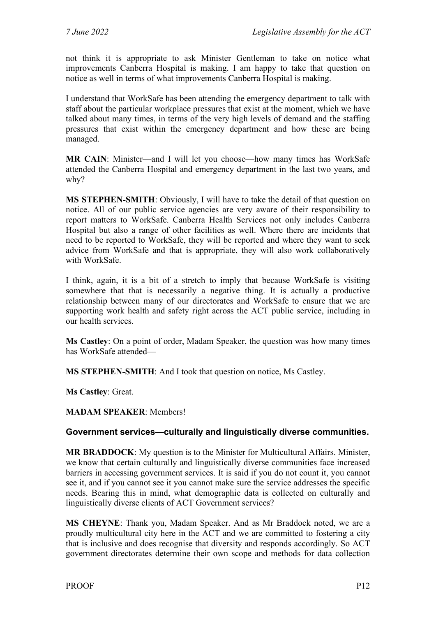not think it is appropriate to ask Minister Gentleman to take on notice what improvements Canberra Hospital is making. I am happy to take that question on notice as well in terms of what improvements Canberra Hospital is making.

I understand that WorkSafe has been attending the emergency department to talk with staff about the particular workplace pressures that exist at the moment, which we have talked about many times, in terms of the very high levels of demand and the staffing pressures that exist within the emergency department and how these are being managed.

**MR CAIN**: Minister—and I will let you choose—how many times has WorkSafe attended the Canberra Hospital and emergency department in the last two years, and why?

**MS STEPHEN-SMITH**: Obviously, I will have to take the detail of that question on notice. All of our public service agencies are very aware of their responsibility to report matters to WorkSafe. Canberra Health Services not only includes Canberra Hospital but also a range of other facilities as well. Where there are incidents that need to be reported to WorkSafe, they will be reported and where they want to seek advice from WorkSafe and that is appropriate, they will also work collaboratively with WorkSafe.

I think, again, it is a bit of a stretch to imply that because WorkSafe is visiting somewhere that that is necessarily a negative thing. It is actually a productive relationship between many of our directorates and WorkSafe to ensure that we are supporting work health and safety right across the ACT public service, including in our health services.

**Ms Castley**: On a point of order, Madam Speaker, the question was how many times has WorkSafe attended—

**MS STEPHEN-SMITH**: And I took that question on notice, Ms Castley.

**Ms Castley**: Great.

**MADAM SPEAKER**: Members!

#### <span id="page-13-0"></span>**Government services—culturally and linguistically diverse communities.**

**MR BRADDOCK**: My question is to the Minister for Multicultural Affairs. Minister, we know that certain culturally and linguistically diverse communities face increased barriers in accessing government services. It is said if you do not count it, you cannot see it, and if you cannot see it you cannot make sure the service addresses the specific needs. Bearing this in mind, what demographic data is collected on culturally and linguistically diverse clients of ACT Government services?

**MS CHEYNE**: Thank you, Madam Speaker. And as Mr Braddock noted, we are a proudly multicultural city here in the ACT and we are committed to fostering a city that is inclusive and does recognise that diversity and responds accordingly. So ACT government directorates determine their own scope and methods for data collection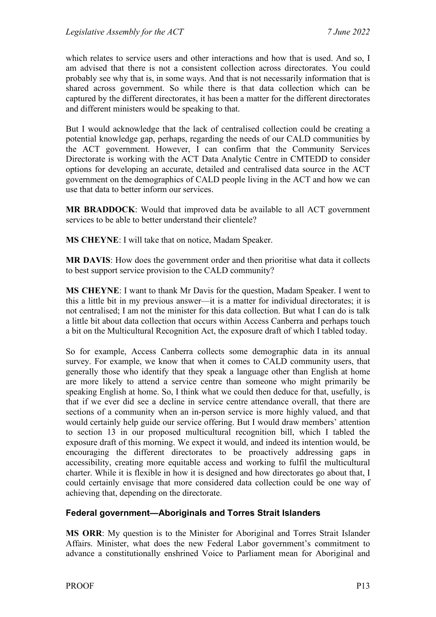which relates to service users and other interactions and how that is used. And so, I am advised that there is not a consistent collection across directorates. You could probably see why that is, in some ways. And that is not necessarily information that is shared across government. So while there is that data collection which can be captured by the different directorates, it has been a matter for the different directorates and different ministers would be speaking to that.

But I would acknowledge that the lack of centralised collection could be creating a potential knowledge gap, perhaps, regarding the needs of our CALD communities by the ACT government. However, I can confirm that the Community Services Directorate is working with the ACT Data Analytic Centre in CMTEDD to consider options for developing an accurate, detailed and centralised data source in the ACT government on the demographics of CALD people living in the ACT and how we can use that data to better inform our services.

**MR BRADDOCK**: Would that improved data be available to all ACT government services to be able to better understand their clientele?

**MS CHEYNE**: I will take that on notice, Madam Speaker.

**MR DAVIS**: How does the government order and then prioritise what data it collects to best support service provision to the CALD community?

**MS CHEYNE**: I want to thank Mr Davis for the question, Madam Speaker. I went to this a little bit in my previous answer—it is a matter for individual directorates; it is not centralised; I am not the minister for this data collection. But what I can do is talk a little bit about data collection that occurs within Access Canberra and perhaps touch a bit on the Multicultural Recognition Act, the exposure draft of which I tabled today.

So for example, Access Canberra collects some demographic data in its annual survey. For example, we know that when it comes to CALD community users, that generally those who identify that they speak a language other than English at home are more likely to attend a service centre than someone who might primarily be speaking English at home. So, I think what we could then deduce for that, usefully, is that if we ever did see a decline in service centre attendance overall, that there are sections of a community when an in-person service is more highly valued, and that would certainly help guide our service offering. But I would draw members' attention to section 13 in our proposed multicultural recognition bill, which I tabled the exposure draft of this morning. We expect it would, and indeed its intention would, be encouraging the different directorates to be proactively addressing gaps in accessibility, creating more equitable access and working to fulfil the multicultural charter. While it is flexible in how it is designed and how directorates go about that, I could certainly envisage that more considered data collection could be one way of achieving that, depending on the directorate.

#### <span id="page-14-0"></span>**Federal government—Aboriginals and Torres Strait Islanders**

**MS ORR**: My question is to the Minister for Aboriginal and Torres Strait Islander Affairs. Minister, what does the new Federal Labor government's commitment to advance a constitutionally enshrined Voice to Parliament mean for Aboriginal and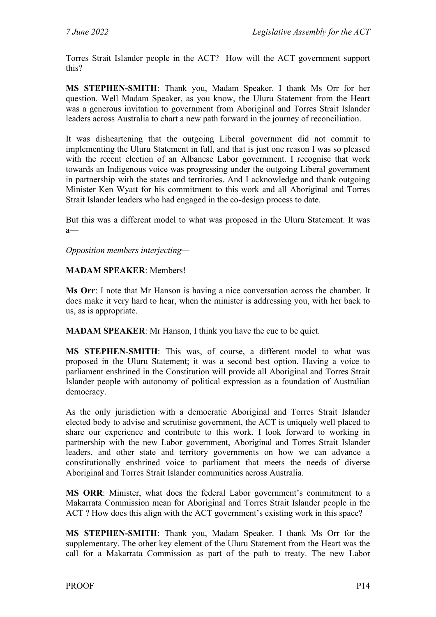Torres Strait Islander people in the ACT? How will the ACT government support this?

**MS STEPHEN-SMITH**: Thank you, Madam Speaker. I thank Ms Orr for her question. Well Madam Speaker, as you know, the Uluru Statement from the Heart was a generous invitation to government from Aboriginal and Torres Strait Islander leaders across Australia to chart a new path forward in the journey of reconciliation.

It was disheartening that the outgoing Liberal government did not commit to implementing the Uluru Statement in full, and that is just one reason I was so pleased with the recent election of an Albanese Labor government. I recognise that work towards an Indigenous voice was progressing under the outgoing Liberal government in partnership with the states and territories. And I acknowledge and thank outgoing Minister Ken Wyatt for his commitment to this work and all Aboriginal and Torres Strait Islander leaders who had engaged in the co-design process to date.

But this was a different model to what was proposed in the Uluru Statement. It was a—

*Opposition members interjecting—*

#### **MADAM SPEAKER**: Members!

**Ms Orr**: I note that Mr Hanson is having a nice conversation across the chamber. It does make it very hard to hear, when the minister is addressing you, with her back to us, as is appropriate.

**MADAM SPEAKER**: Mr Hanson, I think you have the cue to be quiet.

**MS STEPHEN-SMITH**: This was, of course, a different model to what was proposed in the Uluru Statement; it was a second best option. Having a voice to parliament enshrined in the Constitution will provide all Aboriginal and Torres Strait Islander people with autonomy of political expression as a foundation of Australian democracy.

As the only jurisdiction with a democratic Aboriginal and Torres Strait Islander elected body to advise and scrutinise government, the ACT is uniquely well placed to share our experience and contribute to this work. I look forward to working in partnership with the new Labor government, Aboriginal and Torres Strait Islander leaders, and other state and territory governments on how we can advance a constitutionally enshrined voice to parliament that meets the needs of diverse Aboriginal and Torres Strait Islander communities across Australia.

**MS ORR**: Minister, what does the federal Labor government's commitment to a Makarrata Commission mean for Aboriginal and Torres Strait Islander people in the ACT ? How does this align with the ACT government's existing work in this space?

**MS STEPHEN-SMITH**: Thank you, Madam Speaker. I thank Ms Orr for the supplementary. The other key element of the Uluru Statement from the Heart was the call for a Makarrata Commission as part of the path to treaty. The new Labor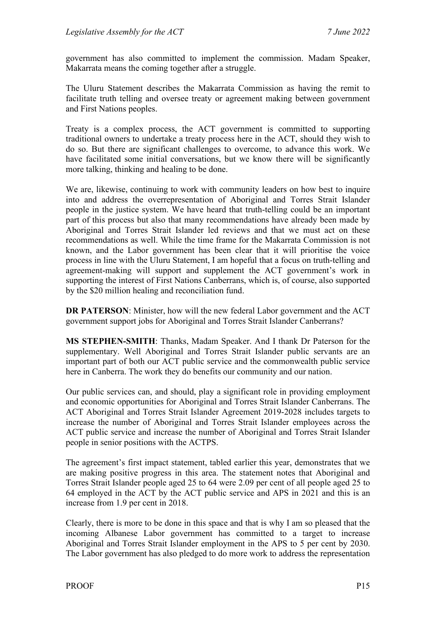government has also committed to implement the commission. Madam Speaker, Makarrata means the coming together after a struggle.

The Uluru Statement describes the Makarrata Commission as having the remit to facilitate truth telling and oversee treaty or agreement making between government and First Nations peoples.

Treaty is a complex process, the ACT government is committed to supporting traditional owners to undertake a treaty process here in the ACT, should they wish to do so. But there are significant challenges to overcome, to advance this work. We have facilitated some initial conversations, but we know there will be significantly more talking, thinking and healing to be done.

We are, likewise, continuing to work with community leaders on how best to inquire into and address the overrepresentation of Aboriginal and Torres Strait Islander people in the justice system. We have heard that truth-telling could be an important part of this process but also that many recommendations have already been made by Aboriginal and Torres Strait Islander led reviews and that we must act on these recommendations as well. While the time frame for the Makarrata Commission is not known, and the Labor government has been clear that it will prioritise the voice process in line with the Uluru Statement, I am hopeful that a focus on truth-telling and agreement-making will support and supplement the ACT government's work in supporting the interest of First Nations Canberrans, which is, of course, also supported by the \$20 million healing and reconciliation fund.

**DR PATERSON**: Minister, how will the new federal Labor government and the ACT government support jobs for Aboriginal and Torres Strait Islander Canberrans?

**MS STEPHEN-SMITH**: Thanks, Madam Speaker. And I thank Dr Paterson for the supplementary. Well Aboriginal and Torres Strait Islander public servants are an important part of both our ACT public service and the commonwealth public service here in Canberra. The work they do benefits our community and our nation.

Our public services can, and should, play a significant role in providing employment and economic opportunities for Aboriginal and Torres Strait Islander Canberrans. The ACT Aboriginal and Torres Strait Islander Agreement 2019-2028 includes targets to increase the number of Aboriginal and Torres Strait Islander employees across the ACT public service and increase the number of Aboriginal and Torres Strait Islander people in senior positions with the ACTPS.

The agreement's first impact statement, tabled earlier this year, demonstrates that we are making positive progress in this area. The statement notes that Aboriginal and Torres Strait Islander people aged 25 to 64 were 2.09 per cent of all people aged 25 to 64 employed in the ACT by the ACT public service and APS in 2021 and this is an increase from 1.9 per cent in 2018.

Clearly, there is more to be done in this space and that is why I am so pleased that the incoming Albanese Labor government has committed to a target to increase Aboriginal and Torres Strait Islander employment in the APS to 5 per cent by 2030. The Labor government has also pledged to do more work to address the representation